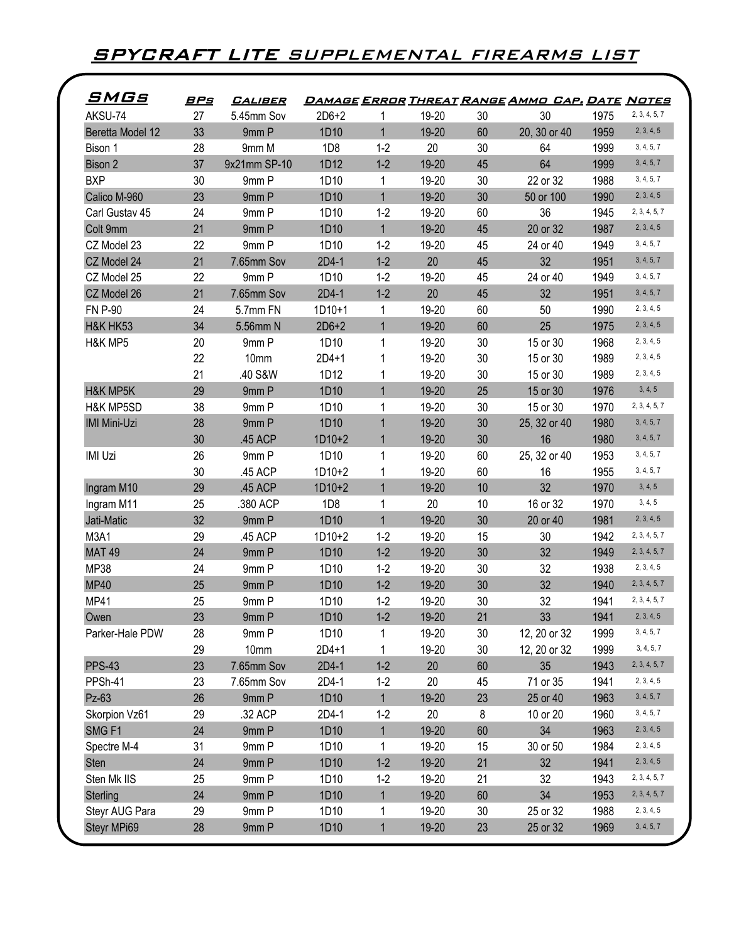## **SPYCRAFT LITE** SUPPLEMENTAL FIREARMS LIST

| <u>SMGs</u>         | <u>BPs</u> | <i><b>CALIBER</b></i> |                 |              |           |    | <u>DAMAGE ERROR THREAT RANGE AMMO CAP. DATE NOTES</u> |      |               |
|---------------------|------------|-----------------------|-----------------|--------------|-----------|----|-------------------------------------------------------|------|---------------|
| AKSU-74             | 27         | 5.45mm Sov            | $2D6+2$         | 1            | 19-20     | 30 | 30                                                    | 1975 | 2, 3, 4, 5, 7 |
| Beretta Model 12    | 33         | 9mm P                 | 1D10            | $\mathbf{1}$ | 19-20     | 60 | 20, 30 or 40                                          | 1959 | 2, 3, 4, 5    |
| Bison 1             | 28         | 9mm M                 | 1D <sub>8</sub> | $1 - 2$      | 20        | 30 | 64                                                    | 1999 | 3, 4, 5, 7    |
| Bison 2             | 37         | 9x21mm SP-10          | 1D12            | $1-2$        | 19-20     | 45 | 64                                                    | 1999 | 3, 4, 5, 7    |
| <b>BXP</b>          | 30         | 9mm P                 | 1D10            | 1            | 19-20     | 30 | 22 or 32                                              | 1988 | 3, 4, 5, 7    |
| Calico M-960        | 23         | 9mm P                 | 1D10            | $\mathbf{1}$ | 19-20     | 30 | 50 or 100                                             | 1990 | 2, 3, 4, 5    |
| Carl Gustav 45      | 24         | 9mm P                 | 1D10            | $1 - 2$      | 19-20     | 60 | 36                                                    | 1945 | 2, 3, 4, 5, 7 |
| Colt 9mm            | 21         | 9mm P                 | 1D10            | $\mathbf{1}$ | 19-20     | 45 | 20 or 32                                              | 1987 | 2, 3, 4, 5    |
| CZ Model 23         | 22         | 9mm P                 | 1D10            | $1 - 2$      | 19-20     | 45 | 24 or 40                                              | 1949 | 3, 4, 5, 7    |
| CZ Model 24         | 21         | 7.65mm Sov            | $2D4-1$         | $1-2$        | 20        | 45 | 32                                                    | 1951 | 3, 4, 5, 7    |
| CZ Model 25         | 22         | 9mm P                 | 1D10            | $1-2$        | 19-20     | 45 | 24 or 40                                              | 1949 | 3, 4, 5, 7    |
| CZ Model 26         | 21         | 7.65mm Sov            | 2D4-1           | $1-2$        | 20        | 45 | 32                                                    | 1951 | 3, 4, 5, 7    |
| <b>FN P-90</b>      | 24         | 5.7mm FN              | $1D10+1$        | 1            | 19-20     | 60 | 50                                                    | 1990 | 2, 3, 4, 5    |
| H&K HK53            | 34         | 5.56mm N              | $2D6+2$         | $\mathbf{1}$ | 19-20     | 60 | 25                                                    | 1975 | 2, 3, 4, 5    |
| H&K MP5             | 20         | 9mm P                 | 1D10            | 1            | 19-20     | 30 | 15 or 30                                              | 1968 | 2, 3, 4, 5    |
|                     | 22         | 10mm                  | $2D4+1$         | 1            | 19-20     | 30 | 15 or 30                                              | 1989 | 2, 3, 4, 5    |
|                     | 21         | .40 S&W               | 1D12            | 1            | 19-20     | 30 | 15 or 30                                              | 1989 | 2, 3, 4, 5    |
| H&K MP5K            | 29         | 9mm P                 | 1D10            | $\mathbf{1}$ | 19-20     | 25 | 15 or 30                                              | 1976 | 3, 4, 5       |
| H&K MP5SD           | 38         | 9mm P                 | 1D10            | 1            | 19-20     | 30 | 15 or 30                                              | 1970 | 2, 3, 4, 5, 7 |
| <b>IMI Mini-Uzi</b> | 28         | 9mm P                 | 1D10            | 1            | 19-20     | 30 | 25, 32 or 40                                          | 1980 | 3, 4, 5, 7    |
|                     | 30         | .45 ACP               | $1D10+2$        | 1            | 19-20     | 30 | 16                                                    | 1980 | 3, 4, 5, 7    |
| <b>IMI Uzi</b>      | 26         | 9mm P                 | 1D10            |              | 19-20     | 60 | 25, 32 or 40                                          | 1953 | 3, 4, 5, 7    |
|                     | 30         | .45 ACP               | $1D10+2$        |              | 19-20     | 60 | 16                                                    | 1955 | 3, 4, 5, 7    |
| Ingram M10          | 29         | .45 ACP               | $1D10+2$        | $\mathbf{1}$ | 19-20     | 10 | 32                                                    | 1970 | 3, 4, 5       |
| Ingram M11          | 25         | .380 ACP              | 1D8             | 1            | 20        | 10 | 16 or 32                                              | 1970 | 3, 4, 5       |
| Jati-Matic          | 32         | 9mm P                 | 1D10            | $\mathbf{1}$ | 19-20     | 30 | 20 or 40                                              | 1981 | 2, 3, 4, 5    |
| M3A1                | 29         | .45 ACP               | $1D10+2$        | $1 - 2$      | 19-20     | 15 | 30                                                    | 1942 | 2, 3, 4, 5, 7 |
| <b>MAT 49</b>       | 24         | 9mm P                 | 1D10            | $1 - 2$      | 19-20     | 30 | 32                                                    | 1949 | 2, 3, 4, 5, 7 |
| <b>MP38</b>         | 24         | 9mm P                 | 1D10            | $1 - 2$      | 19-20     | 30 | 32                                                    | 1938 | 2, 3, 4, 5    |
| <b>MP40</b>         | 25         | 9mm P                 | 1D10            | $1-2$        | 19-20     | 30 | 32                                                    | 1940 | 2, 3, 4, 5, 7 |
| <b>MP41</b>         | 25         | 9mm P                 | 1D10            | $1 - 2$      | 19-20     | 30 | 32                                                    | 1941 | 2, 3, 4, 5, 7 |
| Owen                | 23         | 9mm P                 | 1D10            | $1-2$        | $19 - 20$ | 21 | 33                                                    | 1941 | 2, 3, 4, 5    |
| Parker-Hale PDW     | 28         | 9mm P                 | 1D10            |              | 19-20     | 30 | 12, 20 or 32                                          | 1999 | 3, 4, 5, 7    |
|                     | 29         | 10mm                  | $2D4+1$         | 1            | 19-20     | 30 | 12, 20 or 32                                          | 1999 | 3, 4, 5, 7    |
| <b>PPS-43</b>       | 23         | 7.65mm Sov            | 2D4-1           | $1-2$        | 20        | 60 | 35                                                    | 1943 | 2, 3, 4, 5, 7 |
| PPSh-41             | 23         | 7.65mm Sov            | 2D4-1           | $1-2$        | 20        | 45 | 71 or 35                                              | 1941 | 2, 3, 4, 5    |
| Pz-63               | 26         | 9mm P                 | 1D10            | 1            | 19-20     | 23 | 25 or 40                                              | 1963 | 3, 4, 5, 7    |
| Skorpion Vz61       | 29         | .32 ACP               | 2D4-1           | $1-2$        | 20        | 8  | 10 or 20                                              | 1960 | 3, 4, 5, 7    |
| SMG <sub>F1</sub>   | 24         | 9mm P                 | 1D10            | $\mathbf{1}$ | 19-20     | 60 | 34                                                    | 1963 | 2, 3, 4, 5    |
| Spectre M-4         | 31         | 9mm P                 | 1D10            | 1            | 19-20     | 15 | 30 or 50                                              | 1984 | 2, 3, 4, 5    |
| Sten                | 24         | 9mm P                 | 1D10            | $1-2$        | 19-20     | 21 | 32                                                    | 1941 | 2, 3, 4, 5    |
| Sten Mk IIS         | 25         | 9mm P                 | 1D10            | $1-2$        | 19-20     | 21 | 32                                                    | 1943 | 2, 3, 4, 5, 7 |
| Sterling            | 24         | 9mm P                 | 1D10            | $\mathbf{1}$ | 19-20     | 60 | 34                                                    | 1953 | 2, 3, 4, 5, 7 |
| Steyr AUG Para      | 29         | 9mm P                 | 1D10            | 1            | 19-20     | 30 | 25 or 32                                              | 1988 | 2, 3, 4, 5    |
| Steyr MPi69         | 28         | 9mm P                 | 1D10            | $\mathbf{1}$ | 19-20     | 23 | 25 or 32                                              | 1969 | 3, 4, 5, 7    |